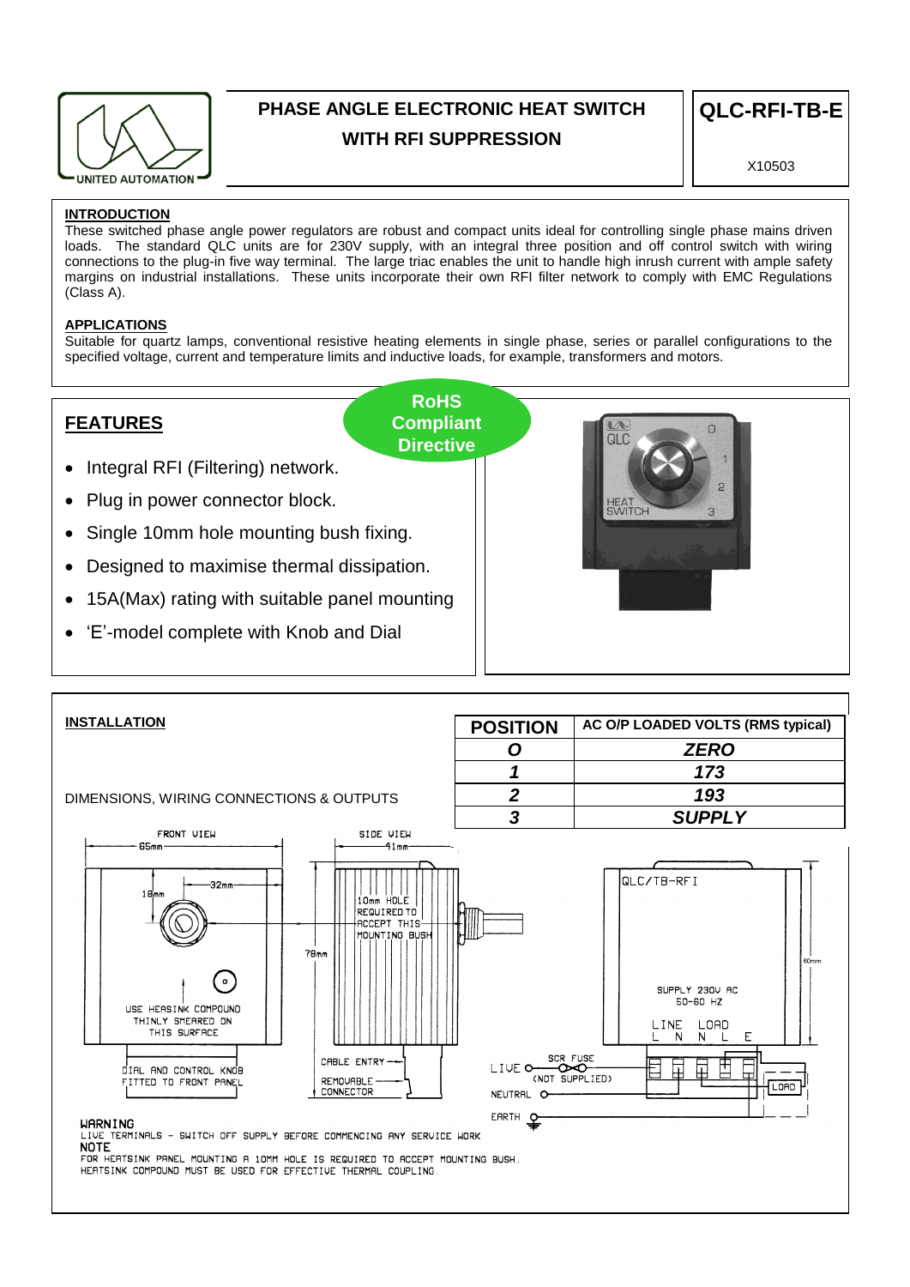

# **PHASE ANGLE ELECTRONIC HEAT SWITCH WITH RFI SUPPRESSION**

X10503

# **INTRODUCTION**

These switched phase angle power regulators are robust and compact units ideal for controlling single phase mains driven loads. The standard QLC units are for 230V supply, with an integral three position and off control switch with wiring connections to the plug-in five way terminal. The large triac enables the unit to handle high inrush current with ample safety margins on industrial installations. These units incorporate their own RFI filter network to comply with EMC Regulations (Class A).

# **APPLICATIONS**

Suitable for quartz lamps, conventional resistive heating elements in single phase, series or parallel configurations to the specified voltage, current and temperature limits and inductive loads, for example, transformers and motors.